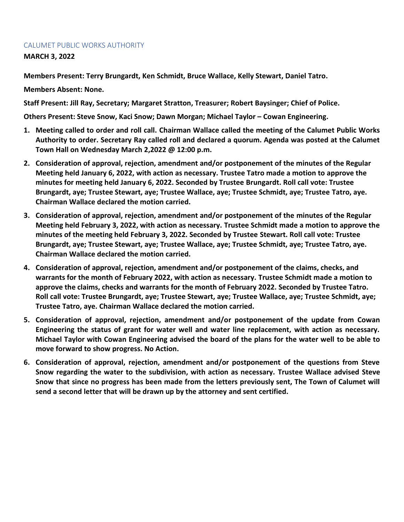## CALUMET PUBLIC WORKS AUTHORITY

**MARCH 3, 2022**

**Members Present: Terry Brungardt, Ken Schmidt, Bruce Wallace, Kelly Stewart, Daniel Tatro.**

**Members Absent: None.**

**Staff Present: Jill Ray, Secretary; Margaret Stratton, Treasurer; Robert Baysinger; Chief of Police.**

**Others Present: Steve Snow, Kaci Snow; Dawn Morgan; Michael Taylor – Cowan Engineering.**

- **1. Meeting called to order and roll call. Chairman Wallace called the meeting of the Calumet Public Works Authority to order. Secretary Ray called roll and declared a quorum. Agenda was posted at the Calumet Town Hall on Wednesday March 2,2022 @ 12:00 p.m.**
- **2. Consideration of approval, rejection, amendment and/or postponement of the minutes of the Regular Meeting held January 6, 2022, with action as necessary. Trustee Tatro made a motion to approve the minutes for meeting held January 6, 2022. Seconded by Trustee Brungardt. Roll call vote: Trustee Brungardt, aye; Trustee Stewart, aye; Trustee Wallace, aye; Trustee Schmidt, aye; Trustee Tatro, aye. Chairman Wallace declared the motion carried.**
- **3. Consideration of approval, rejection, amendment and/or postponement of the minutes of the Regular Meeting held February 3, 2022, with action as necessary. Trustee Schmidt made a motion to approve the minutes of the meeting held February 3, 2022. Seconded by Trustee Stewart. Roll call vote: Trustee Brungardt, aye; Trustee Stewart, aye; Trustee Wallace, aye; Trustee Schmidt, aye; Trustee Tatro, aye. Chairman Wallace declared the motion carried.**
- **4. Consideration of approval, rejection, amendment and/or postponement of the claims, checks, and warrants for the month of February 2022, with action as necessary. Trustee Schmidt made a motion to approve the claims, checks and warrants for the month of February 2022. Seconded by Trustee Tatro. Roll call vote: Trustee Brungardt, aye; Trustee Stewart, aye; Trustee Wallace, aye; Trustee Schmidt, aye; Trustee Tatro, aye. Chairman Wallace declared the motion carried.**
- **5. Consideration of approval, rejection, amendment and/or postponement of the update from Cowan Engineering the status of grant for water well and water line replacement, with action as necessary. Michael Taylor with Cowan Engineering advised the board of the plans for the water well to be able to move forward to show progress. No Action.**
- **6. Consideration of approval, rejection, amendment and/or postponement of the questions from Steve Snow regarding the water to the subdivision, with action as necessary. Trustee Wallace advised Steve Snow that since no progress has been made from the letters previously sent, The Town of Calumet will send a second letter that will be drawn up by the attorney and sent certified.**